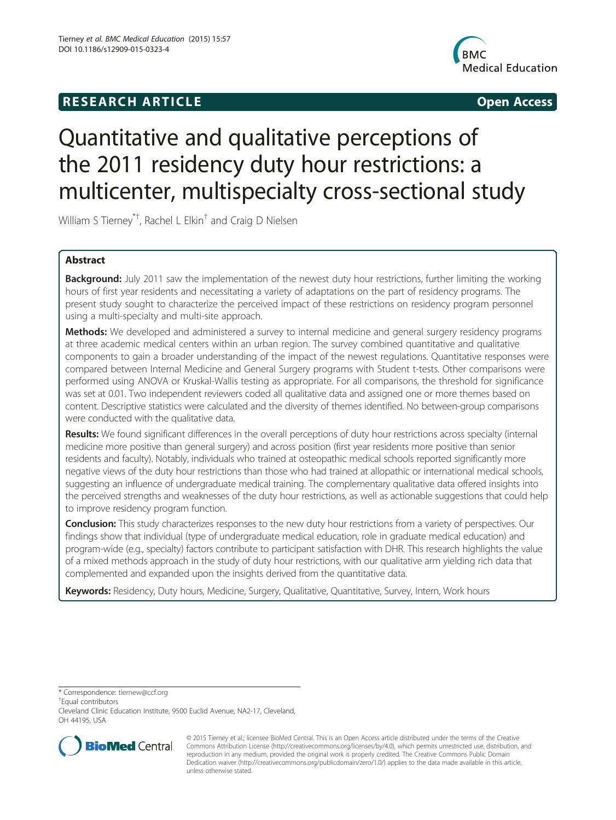# **RESEARCH ARTICLE Example 2014 CONSIDERING CONSIDERING CONSIDERING CONSIDERING CONSIDERING CONSIDERING CONSIDERING CONSIDERING CONSIDERING CONSIDERING CONSIDERING CONSIDERING CONSIDERING CONSIDERING CONSIDERING CONSIDE**



# Quantitative and qualitative perceptions of the 2011 residency duty hour restrictions: a multicenter, multispecialty cross-sectional study

William S Tierney $^{\ast\dagger}$ , Rachel L Elkin $^{\dag}$  and Craig D Nielsen

# Abstract

Background: July 2011 saw the implementation of the newest duty hour restrictions, further limiting the working hours of first year residents and necessitating a variety of adaptations on the part of residency programs. The present study sought to characterize the perceived impact of these restrictions on residency program personnel using a multi-specialty and multi-site approach.

Methods: We developed and administered a survey to internal medicine and general surgery residency programs at three academic medical centers within an urban region. The survey combined quantitative and qualitative components to gain a broader understanding of the impact of the newest regulations. Quantitative responses were compared between Internal Medicine and General Surgery programs with Student t-tests. Other comparisons were performed using ANOVA or Kruskal-Wallis testing as appropriate. For all comparisons, the threshold for significance was set at 0.01. Two independent reviewers coded all qualitative data and assigned one or more themes based on content. Descriptive statistics were calculated and the diversity of themes identified. No between-group comparisons were conducted with the qualitative data.

Results: We found significant differences in the overall perceptions of duty hour restrictions across specialty (internal medicine more positive than general surgery) and across position (first year residents more positive than senior residents and faculty). Notably, individuals who trained at osteopathic medical schools reported significantly more negative views of the duty hour restrictions than those who had trained at allopathic or international medical schools, suggesting an influence of undergraduate medical training. The complementary qualitative data offered insights into the perceived strengths and weaknesses of the duty hour restrictions, as well as actionable suggestions that could help to improve residency program function.

**Conclusion:** This study characterizes responses to the new duty hour restrictions from a variety of perspectives. Our findings show that individual (type of undergraduate medical education, role in graduate medical education) and program-wide (e.g., specialty) factors contribute to participant satisfaction with DHR. This research highlights the value of a mixed methods approach in the study of duty hour restrictions, with our qualitative arm yielding rich data that complemented and expanded upon the insights derived from the quantitative data.

Keywords: Residency, Duty hours, Medicine, Surgery, Qualitative, Quantitative, Survey, Intern, Work hours

\* Correspondence: [tiernew@ccf.org](mailto:tiernew@ccf.org) †

Equal contributors

Cleveland Clinic Education Institute, 9500 Euclid Avenue, NA2-17, Cleveland, OH 44195, USA



© 2015 Tierney et al.; licensee BioMed Central. This is an Open Access article distributed under the terms of the Creative Commons Attribution License [\(http://creativecommons.org/licenses/by/4.0\)](http://creativecommons.org/licenses/by/4.0), which permits unrestricted use, distribution, and reproduction in any medium, provided the original work is properly credited. The Creative Commons Public Domain Dedication waiver [\(http://creativecommons.org/publicdomain/zero/1.0/](http://creativecommons.org/publicdomain/zero/1.0/)) applies to the data made available in this article, unless otherwise stated.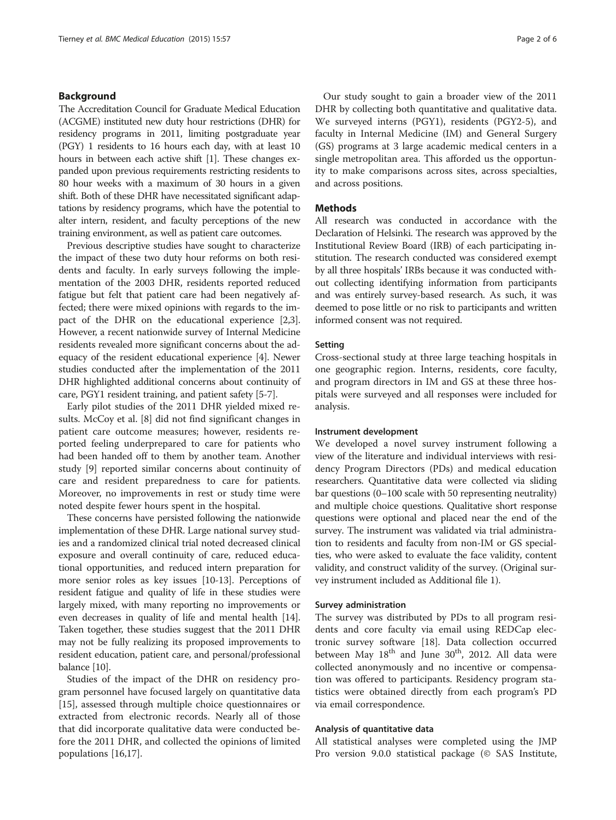### <span id="page-1-0"></span>Background

The Accreditation Council for Graduate Medical Education (ACGME) instituted new duty hour restrictions (DHR) for residency programs in 2011, limiting postgraduate year (PGY) 1 residents to 16 hours each day, with at least 10 hours in between each active shift [\[1\]](#page-5-0). These changes expanded upon previous requirements restricting residents to 80 hour weeks with a maximum of 30 hours in a given shift. Both of these DHR have necessitated significant adaptations by residency programs, which have the potential to alter intern, resident, and faculty perceptions of the new training environment, as well as patient care outcomes.

Previous descriptive studies have sought to characterize the impact of these two duty hour reforms on both residents and faculty. In early surveys following the implementation of the 2003 DHR, residents reported reduced fatigue but felt that patient care had been negatively affected; there were mixed opinions with regards to the impact of the DHR on the educational experience [[2](#page-5-0),[3](#page-5-0)]. However, a recent nationwide survey of Internal Medicine residents revealed more significant concerns about the adequacy of the resident educational experience [\[4](#page-5-0)]. Newer studies conducted after the implementation of the 2011 DHR highlighted additional concerns about continuity of care, PGY1 resident training, and patient safety [\[5](#page-5-0)-[7](#page-5-0)].

Early pilot studies of the 2011 DHR yielded mixed results. McCoy et al. [\[8](#page-5-0)] did not find significant changes in patient care outcome measures; however, residents reported feeling underprepared to care for patients who had been handed off to them by another team. Another study [[9\]](#page-5-0) reported similar concerns about continuity of care and resident preparedness to care for patients. Moreover, no improvements in rest or study time were noted despite fewer hours spent in the hospital.

These concerns have persisted following the nationwide implementation of these DHR. Large national survey studies and a randomized clinical trial noted decreased clinical exposure and overall continuity of care, reduced educational opportunities, and reduced intern preparation for more senior roles as key issues [\[10-13](#page-5-0)]. Perceptions of resident fatigue and quality of life in these studies were largely mixed, with many reporting no improvements or even decreases in quality of life and mental health [[14](#page-5-0)]. Taken together, these studies suggest that the 2011 DHR may not be fully realizing its proposed improvements to resident education, patient care, and personal/professional balance [\[10](#page-5-0)].

Studies of the impact of the DHR on residency program personnel have focused largely on quantitative data [[15\]](#page-5-0), assessed through multiple choice questionnaires or extracted from electronic records. Nearly all of those that did incorporate qualitative data were conducted before the 2011 DHR, and collected the opinions of limited populations [[16](#page-5-0),[17](#page-5-0)].

Our study sought to gain a broader view of the 2011 DHR by collecting both quantitative and qualitative data. We surveyed interns (PGY1), residents (PGY2-5), and faculty in Internal Medicine (IM) and General Surgery (GS) programs at 3 large academic medical centers in a single metropolitan area. This afforded us the opportunity to make comparisons across sites, across specialties, and across positions.

# **Methods**

All research was conducted in accordance with the Declaration of Helsinki. The research was approved by the Institutional Review Board (IRB) of each participating institution. The research conducted was considered exempt by all three hospitals' IRBs because it was conducted without collecting identifying information from participants and was entirely survey-based research. As such, it was deemed to pose little or no risk to participants and written informed consent was not required.

#### Setting

Cross-sectional study at three large teaching hospitals in one geographic region. Interns, residents, core faculty, and program directors in IM and GS at these three hospitals were surveyed and all responses were included for analysis.

#### Instrument development

We developed a novel survey instrument following a view of the literature and individual interviews with residency Program Directors (PDs) and medical education researchers. Quantitative data were collected via sliding bar questions (0–100 scale with 50 representing neutrality) and multiple choice questions. Qualitative short response questions were optional and placed near the end of the survey. The instrument was validated via trial administration to residents and faculty from non-IM or GS specialties, who were asked to evaluate the face validity, content validity, and construct validity of the survey. (Original survey instrument included as Additional file [1](#page-5-0)).

#### Survey administration

The survey was distributed by PDs to all program residents and core faculty via email using REDCap electronic survey software [[18](#page-5-0)]. Data collection occurred between May  $18<sup>th</sup>$  and June  $30<sup>th</sup>$ , 2012. All data were collected anonymously and no incentive or compensation was offered to participants. Residency program statistics were obtained directly from each program's PD via email correspondence.

#### Analysis of quantitative data

All statistical analyses were completed using the JMP Pro version 9.0.0 statistical package (© SAS Institute,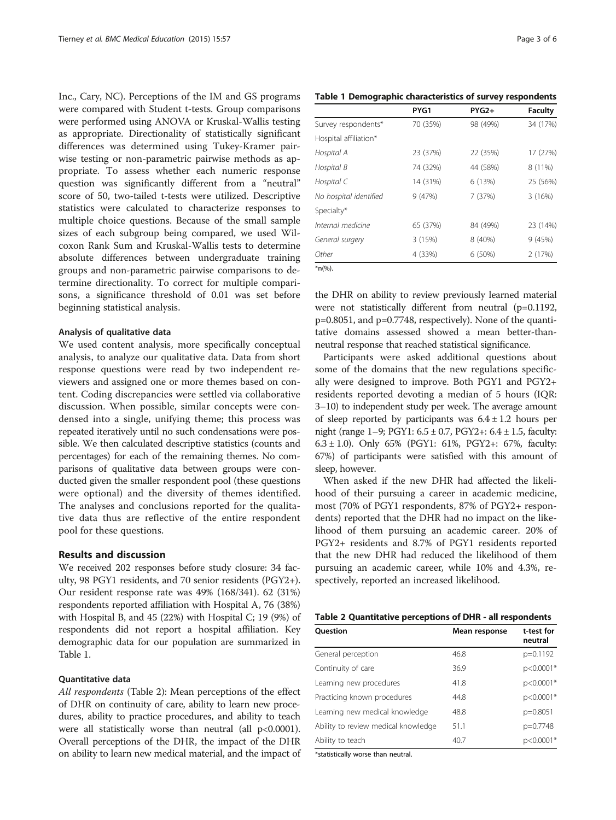Inc., Cary, NC). Perceptions of the IM and GS programs were compared with Student t-tests. Group comparisons were performed using ANOVA or Kruskal-Wallis testing as appropriate. Directionality of statistically significant differences was determined using Tukey-Kramer pairwise testing or non-parametric pairwise methods as appropriate. To assess whether each numeric response question was significantly different from a "neutral" score of 50, two-tailed t-tests were utilized. Descriptive statistics were calculated to characterize responses to multiple choice questions. Because of the small sample sizes of each subgroup being compared, we used Wilcoxon Rank Sum and Kruskal-Wallis tests to determine absolute differences between undergraduate training groups and non-parametric pairwise comparisons to determine directionality. To correct for multiple comparisons, a significance threshold of 0.01 was set before beginning statistical analysis.

#### Analysis of qualitative data

We used content analysis, more specifically conceptual analysis, to analyze our qualitative data. Data from short response questions were read by two independent reviewers and assigned one or more themes based on content. Coding discrepancies were settled via collaborative discussion. When possible, similar concepts were condensed into a single, unifying theme; this process was repeated iteratively until no such condensations were possible. We then calculated descriptive statistics (counts and percentages) for each of the remaining themes. No comparisons of qualitative data between groups were conducted given the smaller respondent pool (these questions were optional) and the diversity of themes identified. The analyses and conclusions reported for the qualitative data thus are reflective of the entire respondent pool for these questions.

## Results and discussion

We received 202 responses before study closure: 34 faculty, 98 PGY1 residents, and 70 senior residents (PGY2+). Our resident response rate was 49% (168/341). 62 (31%) respondents reported affiliation with Hospital A, 76 (38%) with Hospital B, and 45 (22%) with Hospital C; 19 (9%) of respondents did not report a hospital affiliation. Key demographic data for our population are summarized in Table 1.

#### Quantitative data

All respondents (Table 2): Mean perceptions of the effect of DHR on continuity of care, ability to learn new procedures, ability to practice procedures, and ability to teach were all statistically worse than neutral (all  $p<0.0001$ ). Overall perceptions of the DHR, the impact of the DHR on ability to learn new medical material, and the impact of

Table 1 Demographic characteristics of survey respondents

|                        | PYG1     | PYG2+    | <b>Faculty</b> |
|------------------------|----------|----------|----------------|
| Survey respondents*    | 70 (35%) | 98 (49%) | 34 (17%)       |
| Hospital affiliation*  |          |          |                |
| Hospital A             | 23 (37%) | 22 (35%) | 17 (27%)       |
| Hospital B             | 74 (32%) | 44 (58%) | 8 (11%)        |
| Hospital C             | 14 (31%) | 6(13%)   | 25 (56%)       |
| No hospital identified | 9(47%)   | 7(37%)   | 3(16%)         |
| Specialty*             |          |          |                |
| Internal medicine      | 65 (37%) | 84 (49%) | 23 (14%)       |
| General surgery        | 3 (15%)  | 8 (40%)  | 9(45%)         |
| Other                  | 4 (33%)  | 6(50%)   | 2(17%)         |
| $*n(\%).$              |          |          |                |

the DHR on ability to review previously learned material were not statistically different from neutral (p=0.1192, p=0.8051, and p=0.7748, respectively). None of the quantitative domains assessed showed a mean better-thanneutral response that reached statistical significance.

Participants were asked additional questions about some of the domains that the new regulations specifically were designed to improve. Both PGY1 and PGY2+ residents reported devoting a median of 5 hours (IQR: 3–10) to independent study per week. The average amount of sleep reported by participants was  $6.4 \pm 1.2$  hours per night (range  $1-9$ ; PGY1:  $6.5 \pm 0.7$ , PGY2+:  $6.4 \pm 1.5$ , faculty: 6.3  $\pm$  1.0). Only 65% (PGY1: 61%, PGY2+: 67%, faculty: 67%) of participants were satisfied with this amount of sleep, however.

When asked if the new DHR had affected the likelihood of their pursuing a career in academic medicine, most (70% of PGY1 respondents, 87% of PGY2+ respondents) reported that the DHR had no impact on the likelihood of them pursuing an academic career. 20% of PGY2+ residents and 8.7% of PGY1 residents reported that the new DHR had reduced the likelihood of them pursuing an academic career, while 10% and 4.3%, respectively, reported an increased likelihood.

| Table 2 Quantitative perceptions of DHR - all respondents |  |
|-----------------------------------------------------------|--|
|-----------------------------------------------------------|--|

| Question                            | Mean response | t-test for<br>neutral |
|-------------------------------------|---------------|-----------------------|
| General perception                  | 46.8          | p=0.1192              |
| Continuity of care                  | 36.9          | p<0.0001*             |
| Learning new procedures             | 41.8          | p<0.0001*             |
| Practicing known procedures         | 44.8          | p<0.0001*             |
| Learning new medical knowledge      | 48.8          | p=0.8051              |
| Ability to review medical knowledge | 51.1          | p=0.7748              |
| Ability to teach                    | 40.7          | p<0.0001*             |
|                                     |               |                       |

\*statistically worse than neutral.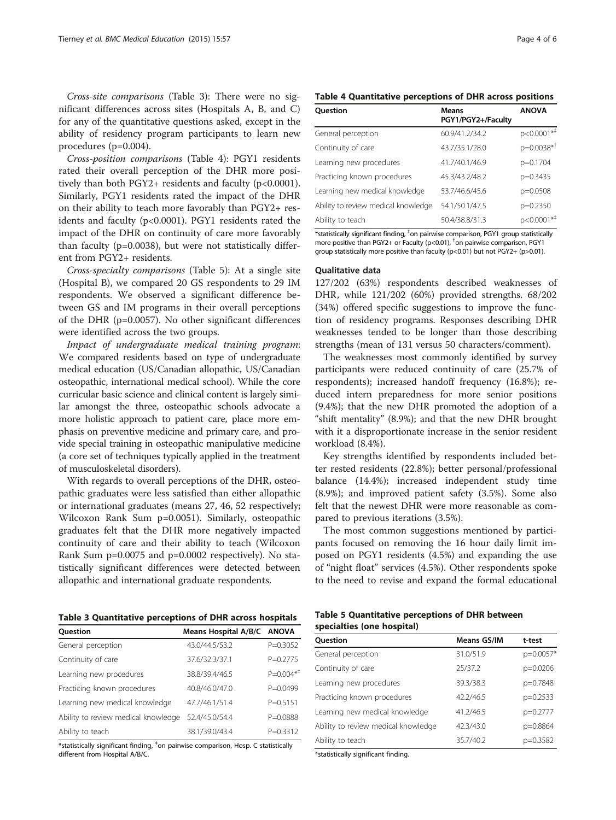Cross-site comparisons (Table 3): There were no significant differences across sites (Hospitals A, B, and C) for any of the quantitative questions asked, except in the ability of residency program participants to learn new procedures (p=0.004).

Cross-position comparisons (Table 4): PGY1 residents rated their overall perception of the DHR more positively than both PGY2+ residents and faculty (p<0.0001). Similarly, PGY1 residents rated the impact of the DHR on their ability to teach more favorably than PGY2+ residents and faculty (p<0.0001). PGY1 residents rated the impact of the DHR on continuity of care more favorably than faculty (p=0.0038), but were not statistically different from PGY2+ residents.

Cross-specialty comparisons (Table 5): At a single site (Hospital B), we compared 20 GS respondents to 29 IM respondents. We observed a significant difference between GS and IM programs in their overall perceptions of the DHR (p=0.0057). No other significant differences were identified across the two groups.

Impact of undergraduate medical training program: We compared residents based on type of undergraduate medical education (US/Canadian allopathic, US/Canadian osteopathic, international medical school). While the core curricular basic science and clinical content is largely similar amongst the three, osteopathic schools advocate a more holistic approach to patient care, place more emphasis on preventive medicine and primary care, and provide special training in osteopathic manipulative medicine (a core set of techniques typically applied in the treatment of musculoskeletal disorders).

With regards to overall perceptions of the DHR, osteopathic graduates were less satisfied than either allopathic or international graduates (means 27, 46, 52 respectively; Wilcoxon Rank Sum p=0.0051). Similarly, osteopathic graduates felt that the DHR more negatively impacted continuity of care and their ability to teach (Wilcoxon Rank Sum p=0.0075 and p=0.0002 respectively). No statistically significant differences were detected between allopathic and international graduate respondents.

Table 3 Quantitative perceptions of DHR across hospitals

| <b>Ouestion</b>                     | Means Hospital A/B/C ANOVA |                            |
|-------------------------------------|----------------------------|----------------------------|
| General perception                  | 43.0/44.5/53.2             | $P = 0.3052$               |
| Continuity of care                  | 37.6/32.3/37.1             | $P = 0.2775$               |
| Learning new procedures             | 38.8/39.4/46.5             | $P = 0.004$ * <sup>+</sup> |
| Practicing known procedures         | 40.8/46.0/47.0             | $P = 0.0499$               |
| Learning new medical knowledge      | 47.7/46.1/51.4             | $P = 0.5151$               |
| Ability to review medical knowledge | 52.4/45.0/54.4             | $P = 0.0888$               |
| Ability to teach                    | 38.1/39.0/43.4             | $P = 0.3312$               |

 $^\ast$ statistically significant finding,  $^\ddag$ on pairwise comparison, Hosp. C statistically different from Hospital A/B/C.

#### Table 4 Quantitative perceptions of DHR across positions

| Question                            | <b>Means</b><br>PGY1/PGY2+/Faculty | <b>ANOVA</b>           |
|-------------------------------------|------------------------------------|------------------------|
| General perception                  | 60.9/41.2/34.2                     | p<0.0001**             |
| Continuity of care                  | 43.7/35.1/28.0                     | $p=0.0038**^{\dagger}$ |
| Learning new procedures             | 41.7/40.1/46.9                     | p=0.1704               |
| Practicing known procedures         | 45.3/43.2/48.2                     | $p=0.3435$             |
| Learning new medical knowledge      | 53.7/46.6/45.6                     | $p=0.0508$             |
| Ability to review medical knowledge | 54.1/50.1/47.5                     | $p=0.2350$             |
| Ability to teach                    | 50.4/38.8/31.3                     | p<0.0001**             |

\*statistically significant finding, ‡ on pairwise comparison, PGY1 group statistically more positive than PGY2+ or Faculty (p<0.01), <sup>†</sup>on pairwise comparison, PGY1 group statistically more positive than faculty (p<0.01) but not PGY2+ (p>0.01).

#### Qualitative data

127/202 (63%) respondents described weaknesses of DHR, while 121/202 (60%) provided strengths. 68/202 (34%) offered specific suggestions to improve the function of residency programs. Responses describing DHR weaknesses tended to be longer than those describing strengths (mean of 131 versus 50 characters/comment).

The weaknesses most commonly identified by survey participants were reduced continuity of care (25.7% of respondents); increased handoff frequency (16.8%); reduced intern preparedness for more senior positions (9.4%); that the new DHR promoted the adoption of a "shift mentality" (8.9%); and that the new DHR brought with it a disproportionate increase in the senior resident workload (8.4%).

Key strengths identified by respondents included better rested residents (22.8%); better personal/professional balance (14.4%); increased independent study time (8.9%); and improved patient safety (3.5%). Some also felt that the newest DHR were more reasonable as compared to previous iterations (3.5%).

The most common suggestions mentioned by participants focused on removing the 16 hour daily limit imposed on PGY1 residents (4.5%) and expanding the use of "night float" services (4.5%). Other respondents spoke to the need to revise and expand the formal educational

| Table 5 Quantitative perceptions of DHR between |  |  |
|-------------------------------------------------|--|--|
| specialties (one hospital)                      |  |  |

| <b>Ouestion</b>                     | Means GS/IM | t-test     |
|-------------------------------------|-------------|------------|
| General perception                  | 31.0/51.9   | p=0.0057*  |
| Continuity of care                  | 25/37.2     | p=0.0206   |
| Learning new procedures             | 39.3/38.3   | p=0.7848   |
| Practicing known procedures         | 42.2/46.5   | $p=0.2533$ |
| Learning new medical knowledge      | 41.2/46.5   | p=0.2777   |
| Ability to review medical knowledge | 42.3/43.0   | p=0.8864   |
| Ability to teach                    | 35.7/40.2   | p=0.3582   |

\*statistically significant finding.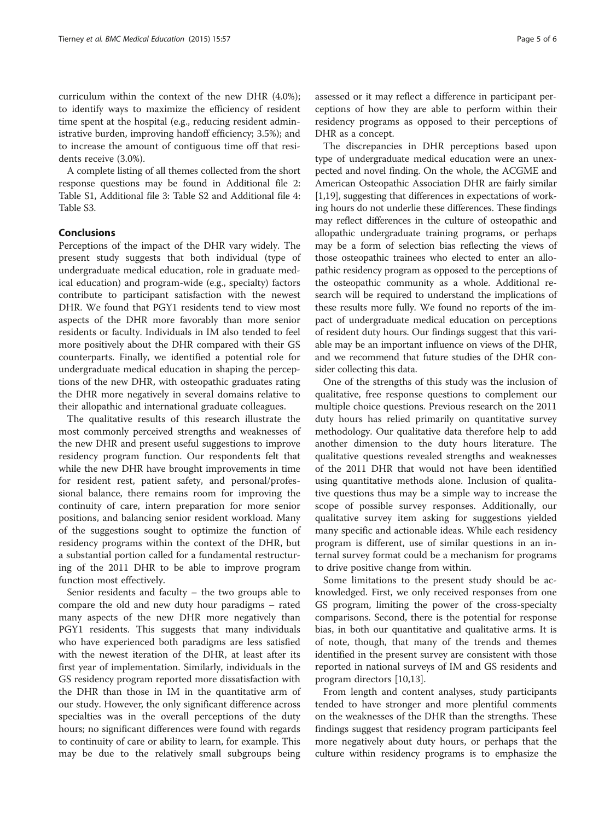curriculum within the context of the new DHR (4.0%); to identify ways to maximize the efficiency of resident time spent at the hospital (e.g., reducing resident administrative burden, improving handoff efficiency; 3.5%); and to increase the amount of contiguous time off that residents receive (3.0%).

A complete listing of all themes collected from the short response questions may be found in Additional file [2](#page-5-0): Table S1, Additional file [3:](#page-5-0) Table S2 and Additional file [4](#page-5-0): Table S3.

#### Conclusions

Perceptions of the impact of the DHR vary widely. The present study suggests that both individual (type of undergraduate medical education, role in graduate medical education) and program-wide (e.g., specialty) factors contribute to participant satisfaction with the newest DHR. We found that PGY1 residents tend to view most aspects of the DHR more favorably than more senior residents or faculty. Individuals in IM also tended to feel more positively about the DHR compared with their GS counterparts. Finally, we identified a potential role for undergraduate medical education in shaping the perceptions of the new DHR, with osteopathic graduates rating the DHR more negatively in several domains relative to their allopathic and international graduate colleagues.

The qualitative results of this research illustrate the most commonly perceived strengths and weaknesses of the new DHR and present useful suggestions to improve residency program function. Our respondents felt that while the new DHR have brought improvements in time for resident rest, patient safety, and personal/professional balance, there remains room for improving the continuity of care, intern preparation for more senior positions, and balancing senior resident workload. Many of the suggestions sought to optimize the function of residency programs within the context of the DHR, but a substantial portion called for a fundamental restructuring of the 2011 DHR to be able to improve program function most effectively.

Senior residents and faculty – the two groups able to compare the old and new duty hour paradigms – rated many aspects of the new DHR more negatively than PGY1 residents. This suggests that many individuals who have experienced both paradigms are less satisfied with the newest iteration of the DHR, at least after its first year of implementation. Similarly, individuals in the GS residency program reported more dissatisfaction with the DHR than those in IM in the quantitative arm of our study. However, the only significant difference across specialties was in the overall perceptions of the duty hours; no significant differences were found with regards to continuity of care or ability to learn, for example. This may be due to the relatively small subgroups being

assessed or it may reflect a difference in participant perceptions of how they are able to perform within their residency programs as opposed to their perceptions of DHR as a concept.

The discrepancies in DHR perceptions based upon type of undergraduate medical education were an unexpected and novel finding. On the whole, the ACGME and American Osteopathic Association DHR are fairly similar [[1,19](#page-5-0)], suggesting that differences in expectations of working hours do not underlie these differences. These findings may reflect differences in the culture of osteopathic and allopathic undergraduate training programs, or perhaps may be a form of selection bias reflecting the views of those osteopathic trainees who elected to enter an allopathic residency program as opposed to the perceptions of the osteopathic community as a whole. Additional research will be required to understand the implications of these results more fully. We found no reports of the impact of undergraduate medical education on perceptions of resident duty hours. Our findings suggest that this variable may be an important influence on views of the DHR, and we recommend that future studies of the DHR consider collecting this data.

One of the strengths of this study was the inclusion of qualitative, free response questions to complement our multiple choice questions. Previous research on the 2011 duty hours has relied primarily on quantitative survey methodology. Our qualitative data therefore help to add another dimension to the duty hours literature. The qualitative questions revealed strengths and weaknesses of the 2011 DHR that would not have been identified using quantitative methods alone. Inclusion of qualitative questions thus may be a simple way to increase the scope of possible survey responses. Additionally, our qualitative survey item asking for suggestions yielded many specific and actionable ideas. While each residency program is different, use of similar questions in an internal survey format could be a mechanism for programs to drive positive change from within.

Some limitations to the present study should be acknowledged. First, we only received responses from one GS program, limiting the power of the cross-specialty comparisons. Second, there is the potential for response bias, in both our quantitative and qualitative arms. It is of note, though, that many of the trends and themes identified in the present survey are consistent with those reported in national surveys of IM and GS residents and program directors [[10,13\]](#page-5-0).

From length and content analyses, study participants tended to have stronger and more plentiful comments on the weaknesses of the DHR than the strengths. These findings suggest that residency program participants feel more negatively about duty hours, or perhaps that the culture within residency programs is to emphasize the